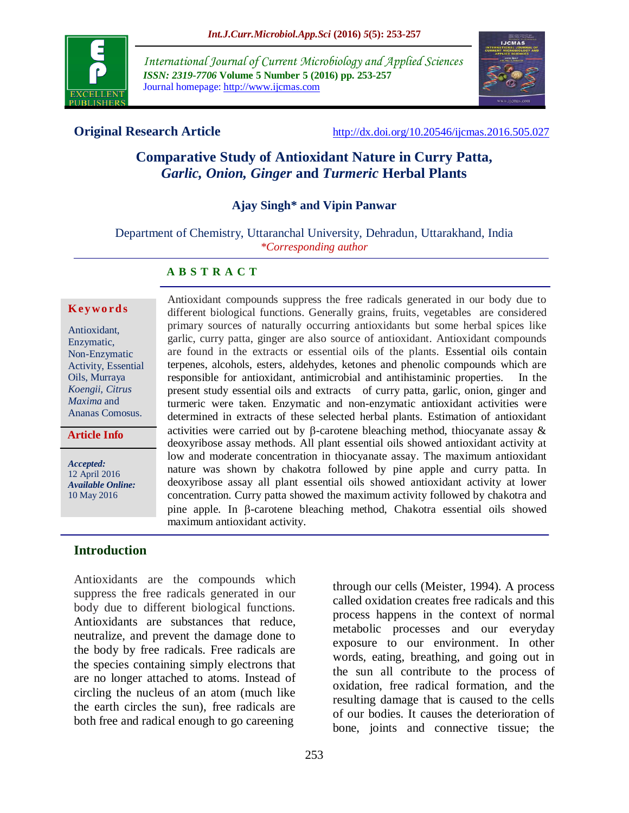

*International Journal of Current Microbiology and Applied Sciences ISSN: 2319-7706* **Volume 5 Number 5 (2016) pp. 253-257** Journal homepage: http://www.ijcmas.com



**Original Research Article** <http://dx.doi.org/10.20546/ijcmas.2016.505.027>

# **Comparative Study of Antioxidant Nature in Curry Patta,**  *Garlic, Onion, Ginger* **and** *Turmeric* **Herbal Plants**

## **Ajay Singh\* and Vipin Panwar**

Department of Chemistry, Uttaranchal University, Dehradun, Uttarakhand, India *\*Corresponding author*

#### **A B S T R A C T**

#### **K ey w o rd s**

Antioxidant, Enzymatic, Non-Enzymatic Activity, Essential Oils, Murraya *Koengii, Citrus Maxima* and Ananas Comosus.

**Article Info**

*Accepted:*  12 April 2016 *Available Online:* 10 May 2016

**Introduction**

Antioxidants are the compounds which suppress the free radicals generated in our body due to different biological functions. Antioxidants are substances that reduce, neutralize, and prevent the damage done to the body by free radicals. Free radicals are the species containing simply electrons that are no longer attached to atoms. Instead of circling the nucleus of an atom (much like the earth circles the sun), free radicals are both free and radical enough to go careening

Antioxidant compounds suppress the free radicals generated in our body due to different biological functions. Generally grains, fruits, vegetables are considered primary sources of naturally occurring antioxidants but some herbal spices like garlic, curry patta, ginger are also source of antioxidant. Antioxidant compounds are found in the extracts or essential oils of the plants. Essential oils contain terpenes, alcohols, esters, aldehydes, ketones and phenolic compounds which are responsible for antioxidant, antimicrobial and antihistaminic properties. In the present study essential oils and extracts of curry patta, garlic, onion, ginger and turmeric were taken. Enzymatic and non-enzymatic antioxidant activities were determined in extracts of these selected herbal plants. Estimation of antioxidant activities were carried out by  $\beta$ -carotene bleaching method, thiocyanate assay  $\&$ deoxyribose assay methods. All plant essential oils showed antioxidant activity at low and moderate concentration in thiocyanate assay. The maximum antioxidant nature was shown by chakotra followed by pine apple and curry patta. In deoxyribose assay all plant essential oils showed antioxidant activity at lower concentration. Curry patta showed the maximum activity followed by chakotra and pine apple. In  $\beta$ -carotene bleaching method, Chakotra essential oils showed maximum antioxidant activity.

> through our cells (Meister, 1994). A process called oxidation creates free radicals and this process happens in the context of normal metabolic processes and our everyday exposure to our environment. In other words, eating, breathing, and going out in the sun all contribute to the process of oxidation, free radical formation, and the resulting damage that is caused to the cells of our bodies. It causes the deterioration of bone, joints and connective tissue; the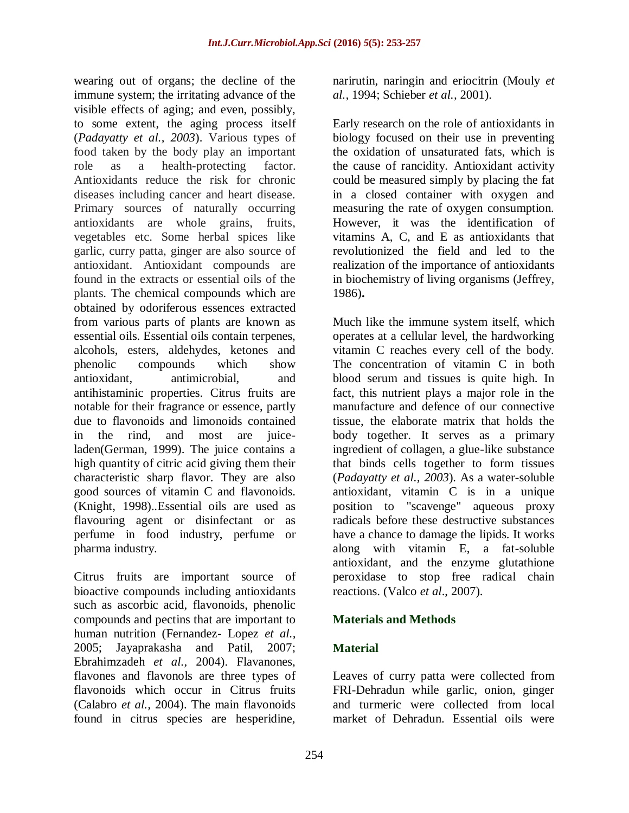wearing out of organs; the decline of the immune system; the irritating advance of the visible effects of aging; and even, possibly, to some extent, [the aging process](http://www.vitaminstuff.com/antiaging.html) itself (*Padayatty et al., 2003*). Various types of food taken by the body play an important role as a health-protecting factor. Antioxidants reduce the risk for chronic diseases including cancer and heart disease. Primary sources of naturally occurring antioxidants are whole grains, fruits, vegetables etc. Some herbal spices like garlic, curry patta, ginger are also source of antioxidant. Antioxidant compounds are found in the extracts or essential oils of the plants. The chemical compounds which are obtained by odoriferous essences extracted from various parts of plants are known as essential oils. Essential oils contain terpenes, alcohols, esters, aldehydes, ketones and phenolic compounds which show antioxidant, antimicrobial, and antihistaminic properties. Citrus fruits are notable for their fragrance or essence, partly due to [flavonoids](http://en.wikipedia.org/wiki/Flavonoids) and [limonoids](http://en.wikipedia.org/wiki/Limonoids) contained in the rind, and most are juiceladen(German, 1999). The juice contains a high quantity of [citric acid](http://en.wikipedia.org/wiki/Citric_acid) giving them their characteristic sharp flavor. They are also good sources of [vitamin C](http://en.wikipedia.org/wiki/Vitamin_C) and [flavonoids.](http://en.wikipedia.org/wiki/Flavonoid) (Knight, 1998)..Essential oils are used as flavouring agent or disinfectant or as perfume in food industry, perfume or pharma industry.

Citrus fruits are important source of bioactive compounds including antioxidants such as ascorbic acid, flavonoids, phenolic compounds and pectins that are important to human nutrition (Fernandez- Lopez *et al.,*  2005; Jayaprakasha and Patil, 2007; Ebrahimzadeh *et al.,* 2004). Flavanones, flavones and flavonols are three types of flavonoids which occur in Citrus fruits (Calabro *et al.,* 2004). The main flavonoids found in citrus species are hesperidine,

narirutin, naringin and eriocitrin (Mouly *et al.,* 1994; Schieber *et al.,* 2001).

Early research on the role of antioxidants in biology focused on their use in preventing the oxidation of [unsaturated fats,](http://en.wikipedia.org/wiki/Unsaturated_fat) which is the cause of [rancidity.](http://en.wikipedia.org/wiki/Rancidity) Antioxidant activity could be measured simply by placing the fat in a closed container with oxygen and measuring the rate of oxygen consumption. However, it was the identification of [vitamins A,](http://en.wikipedia.org/wiki/Vitamin_A) [C,](http://en.wikipedia.org/wiki/Vitamin_C) and E as antioxidants that revolutionized the field and led to the realization of the importance of antioxidants in biochemistry of living organisms (Jeffrey, 1986)**.**

Much like the immune system itself, which operates at a cellular level, the hardworking vitamin C reaches every cell of the body. The concentration of vitamin C in both blood serum and tissues is quite high. In fact, this nutrient plays a major role in the manufacture and defence of our connective tissue, the elaborate matrix that holds the body together. It serves as a primary ingredient of collagen, a glue-like substance that binds cells together to form tissues (*Padayatty et al., 2003*). As a water-soluble antioxidant, vitamin C is in a unique position to "scavenge" aqueous proxy radicals before these destructive substances have a chance to damage the lipids. It works along with vitamin E, a fat-soluble antioxidant, and the enzyme glutathione peroxidase to stop free radical chain reactions. (Valco *et al*., 2007).

## **Materials and Methods**

## **Material**

Leaves of curry patta were collected from FRI-Dehradun while garlic, onion, ginger and turmeric were collected from local market of Dehradun. Essential oils were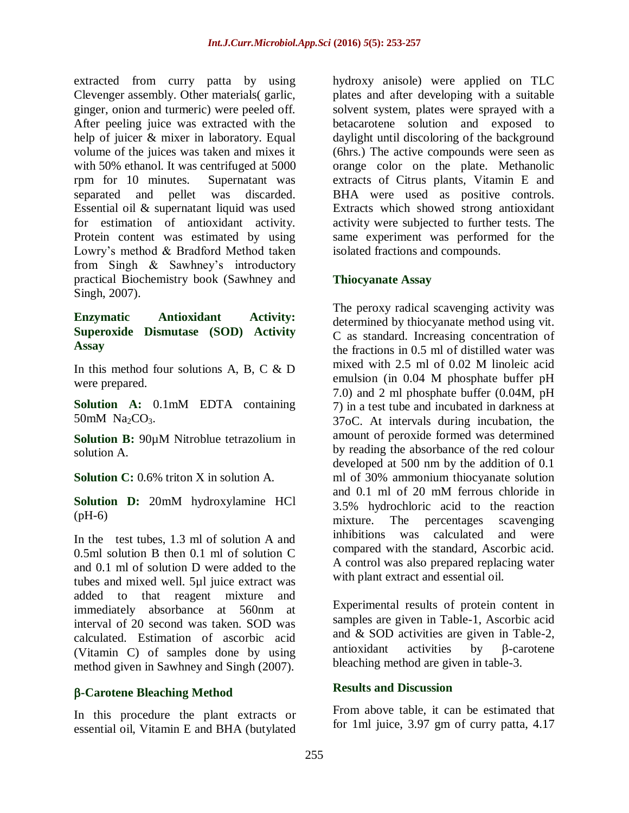extracted from curry patta by using Clevenger assembly. Other materials( garlic, ginger, onion and turmeric) were peeled off. After peeling juice was extracted with the help of juicer & mixer in laboratory. Equal volume of the juices was taken and mixes it with 50% ethanol. It was centrifuged at 5000 rpm for 10 minutes. Supernatant was separated and pellet was discarded. Essential oil & supernatant liquid was used for estimation of antioxidant activity. Protein content was estimated by using Lowry's method & Bradford Method taken from Singh & Sawhney's introductory practical Biochemistry book (Sawhney and Singh, 2007).

## **Enzymatic Antioxidant Activity: Superoxide Dismutase (SOD) Activity Assay**

In this method four solutions A, B, C & D were prepared.

**Solution A:** 0.1mM EDTA containing  $50mM$  Na<sub>2</sub>CO<sub>3</sub>.

**Solution B:** 90µM Nitroblue tetrazolium in solution A.

**Solution C:** 0.6% triton X in solution A.

**Solution D:** 20mM hydroxylamine HCl  $(pH-6)$ 

In the test tubes, 1.3 ml of solution A and 0.5ml solution B then 0.1 ml of solution C and 0.1 ml of solution D were added to the tubes and mixed well. 5µl juice extract was added to that reagent mixture and immediately absorbance at 560nm at interval of 20 second was taken. SOD was calculated. Estimation of ascorbic acid (Vitamin C) of samples done by using method given in Sawhney and Singh (2007).

## **-Carotene Bleaching Method**

In this procedure the plant extracts or essential oil, Vitamin E and BHA (butylated hydroxy anisole) were applied on TLC plates and after developing with a suitable solvent system, plates were sprayed with a betacarotene solution and exposed to daylight until discoloring of the background (6hrs.) The active compounds were seen as orange color on the plate. Methanolic extracts of Citrus plants, Vitamin E and BHA were used as positive controls. Extracts which showed strong antioxidant activity were subjected to further tests. The same experiment was performed for the isolated fractions and compounds.

## **Thiocyanate Assay**

The peroxy radical scavenging activity was determined by thiocyanate method using vit. C as standard. Increasing concentration of the fractions in 0.5 ml of distilled water was mixed with 2.5 ml of 0.02 M linoleic acid emulsion (in 0.04 M phosphate buffer pH 7.0) and 2 ml phosphate buffer (0.04M, pH 7) in a test tube and incubated in darkness at 37oC. At intervals during incubation, the amount of peroxide formed was determined by reading the absorbance of the red colour developed at 500 nm by the addition of 0.1 ml of 30% ammonium thiocyanate solution and 0.1 ml of 20 mM ferrous chloride in 3.5% hydrochloric acid to the reaction mixture. The percentages scavenging inhibitions was calculated and were compared with the standard, Ascorbic acid. A control was also prepared replacing water with plant extract and essential oil.

Experimental results of protein content in samples are given in Table-1, Ascorbic acid and & SOD activities are given in Table-2,  $\arccos$  antioxidant activities by  $\beta$ -carotene bleaching method are given in table-3.

## **Results and Discussion**

From above table, it can be estimated that for 1ml juice, 3.97 gm of curry patta, 4.17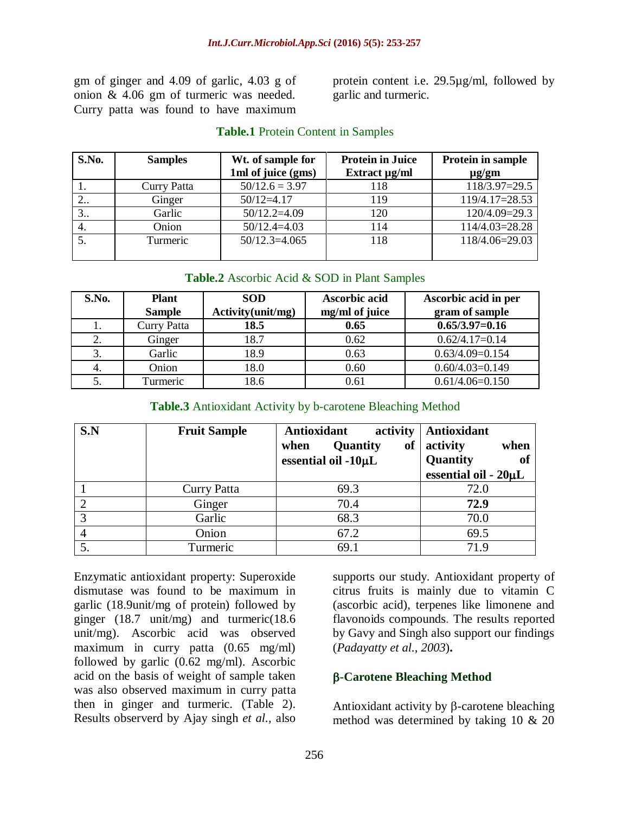gm of ginger and 4.09 of garlic, 4.03 g of onion & 4.06 gm of turmeric was needed. Curry patta was found to have maximum protein content i.e. 29.5µg/ml, followed by garlic and turmeric.

| S.No. | <b>Samples</b> | Wt. of sample for  | <b>Protein in Juice</b> | Protein in sample |
|-------|----------------|--------------------|-------------------------|-------------------|
|       |                | 1ml of juice (gms) | Extract $\mu$ g/ml      | $\mu$ g/gm        |
|       | Curry Patta    | $50/12.6 = 3.97$   | 118                     | $118/3.97=29.5$   |
| 2     | Ginger         | $50/12 = 4.17$     | 119                     | 119/4.17=28.53    |
| 3.    | Garlic         | $50/12.2=4.09$     | 120                     | 120/4.09=29.3     |
| 4.    | Onion          | $50/12.4 = 4.03$   | 114                     | 114/4.03=28.28    |
| 5.    | Turmeric       | $50/12.3 = 4.065$  | 118                     | 118/4.06=29.03    |
|       |                |                    |                         |                   |

#### **Table.1** Protein Content in Samples

#### **Table.2** Ascorbic Acid & SOD in Plant Samples

| S.No. | <b>Plant</b><br><b>Sample</b> | <b>SOD</b><br>Activity(unit/mg) | Ascorbic acid<br>mg/ml of juice | Ascorbic acid in per<br>gram of sample |
|-------|-------------------------------|---------------------------------|---------------------------------|----------------------------------------|
|       | Curry Patta                   | 18.5                            | 0.65                            | $0.65/3.97=0.16$                       |
| 2.    | Ginger                        | 18.7                            | 0.62                            | $0.62/4.17=0.14$                       |
|       | Garlic                        | 18.9                            | 0.63                            | $0.63/4.09=0.154$                      |
| 4.    | Onion                         | 18.0                            | 0.60                            | $0.60/4.03=0.149$                      |
| 5.    | Turmeric                      | 18.6                            | 0.61                            | $0.61/4.06=0.150$                      |

#### **Table.3** Antioxidant Activity by b-carotene Bleaching Method

| S.N | <b>Fruit Sample</b> | Antioxidant<br>activity<br>Quantity<br>of<br>when<br>essential oil -10µL | Antioxidant<br>activity<br>when<br>Quantity<br>of<br>essential oil - 20µL |
|-----|---------------------|--------------------------------------------------------------------------|---------------------------------------------------------------------------|
|     | <b>Curry Patta</b>  | 69.3                                                                     | 72.0                                                                      |
|     | Ginger              | 70.4                                                                     | 72.9                                                                      |
|     | Garlic              | 68.3                                                                     | 70.0                                                                      |
|     | Onion               | 67.2                                                                     | 69.5                                                                      |
|     | Turmeric            | 69.1                                                                     | 71.9                                                                      |

Enzymatic antioxidant property: Superoxide dismutase was found to be maximum in garlic (18.9unit/mg of protein) followed by ginger (18.7 unit/mg) and turmeric(18.6 unit/mg). Ascorbic acid was observed maximum in curry patta (0.65 mg/ml) followed by garlic (0.62 mg/ml). Ascorbic acid on the basis of weight of sample taken was also observed maximum in curry patta then in ginger and turmeric. (Table 2). Results observerd by Ajay singh *et al.,* also

supports our study. Antioxidant property of citrus fruits is mainly due to vitamin C (ascorbic acid), terpenes like limonene and flavonoids compounds. The results reported by Gavy and Singh also support our findings (*Padayatty et al., 2003*)**.**

#### **-Carotene Bleaching Method**

Antioxidant activity by  $\beta$ -carotene bleaching method was determined by taking 10 & 20